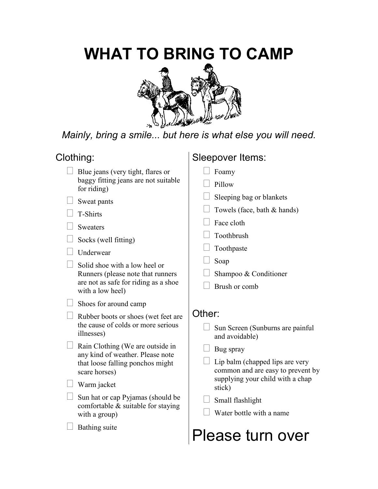## **WHAT TO BRING TO CAMP**



*Mainly, bring a smile... but here is what else you will need.* 

### Clothing:

 Blue jeans (very tight, flares or baggy fitting jeans are not suitable for riding)

Sweat pants

T-Shirts

**Sweaters** 

Socks (well fitting)

**Underwear** 

 Solid shoe with a low heel or Runners (please note that runners are not as safe for riding as a shoe with a low heel)

Shoes for around camp

 Rubber boots or shoes (wet feet are the cause of colds or more serious illnesses)

 Rain Clothing (We are outside in any kind of weather. Please note that loose falling ponchos might scare horses)

Warm jacket

 Sun hat or cap Pyjamas (should be comfortable & suitable for staying with a group)

Bathing suite

## Sleepover Items:

Foamy

Pillow

Sleeping bag or blankets

Towels (face, bath & hands)

Face cloth

Toothbrush

Toothpaste

Soap

Shampoo & Conditioner

Brush or comb

### Other:

 Sun Screen (Sunburns are painful and avoidable)

Bug spray

 Lip balm (chapped lips are very common and are easy to prevent by supplying your child with a chap stick)

Small flashlight

Water bottle with a name

# Please turn over